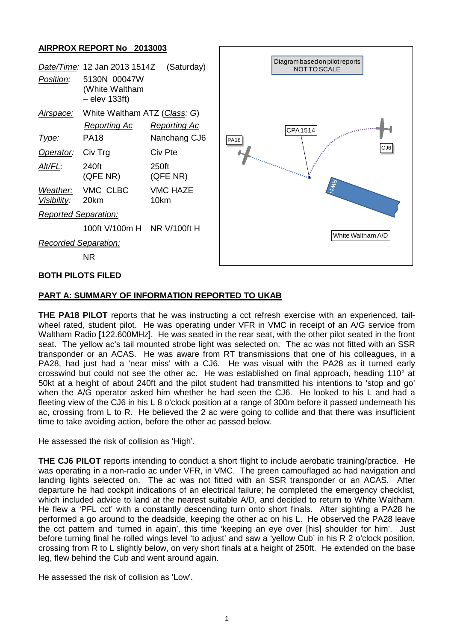### **AIRPROX REPORT No 2013003**

| Position:                   | Date/Time: 12 Jan 2013 1514Z<br>5130N 00047W<br>(White Waltham | (Saturday)              | Diagram based on pilot reports<br>NOT TO SCALE                                                                                                                                                                                                                                      |
|-----------------------------|----------------------------------------------------------------|-------------------------|-------------------------------------------------------------------------------------------------------------------------------------------------------------------------------------------------------------------------------------------------------------------------------------|
|                             | $-$ elev 133ft)                                                |                         |                                                                                                                                                                                                                                                                                     |
| Airspace:                   | White Waltham ATZ (Class: G)                                   |                         |                                                                                                                                                                                                                                                                                     |
|                             | <b>Reporting Ac</b>                                            | <b>Reporting Ac</b>     | CPA 1514<br><b>ALLER AND</b><br><b>PA18</b><br>CJ6<br>reservation of the company of the company of the company of the company of the company of the company of the company of the company of the company of the company of the company of the company of the company of the company |
| Type:                       | <b>PA18</b>                                                    | Nanchang CJ6            |                                                                                                                                                                                                                                                                                     |
| Operator:                   | Civ Trg                                                        | Civ Pte                 |                                                                                                                                                                                                                                                                                     |
| Alt/FL:                     | 240ft<br>(QFE NR)                                              | 250ft<br>(QFE NR)       |                                                                                                                                                                                                                                                                                     |
| Weather:<br>Visibility:     | VMC CLBC<br>20km                                               | <b>VMC HAZE</b><br>10km |                                                                                                                                                                                                                                                                                     |
| <b>Reported Separation:</b> |                                                                |                         |                                                                                                                                                                                                                                                                                     |
|                             | 100ft V/100m H NR V/100ft H                                    |                         |                                                                                                                                                                                                                                                                                     |
| <b>Recorded Separation:</b> |                                                                |                         | White Waltham A/D                                                                                                                                                                                                                                                                   |
|                             | <b>NR</b>                                                      |                         |                                                                                                                                                                                                                                                                                     |
|                             |                                                                |                         |                                                                                                                                                                                                                                                                                     |

## **BOTH PILOTS FILED**

#### **PART A: SUMMARY OF INFORMATION REPORTED TO UKAB**

**THE PA18 PILOT** reports that he was instructing a cct refresh exercise with an experienced, tailwheel rated, student pilot. He was operating under VFR in VMC in receipt of an A/G service from Waltham Radio [122.600MHz]. He was seated in the rear seat, with the other pilot seated in the front seat. The yellow ac's tail mounted strobe light was selected on. The ac was not fitted with an SSR transponder or an ACAS. He was aware from RT transmissions that one of his colleagues, in a PA28, had just had a 'near miss' with a CJ6. He was visual with the PA28 as it turned early crosswind but could not see the other ac. He was established on final approach, heading 110° at 50kt at a height of about 240ft and the pilot student had transmitted his intentions to 'stop and go' when the A/G operator asked him whether he had seen the CJ6. He looked to his L and had a fleeting view of the CJ6 in his L 8 o'clock position at a range of 300m before it passed underneath his ac, crossing from L to R. He believed the 2 ac were going to collide and that there was insufficient time to take avoiding action, before the other ac passed below.

He assessed the risk of collision as 'High'.

**THE CJ6 PILOT** reports intending to conduct a short flight to include aerobatic training/practice. He was operating in a non-radio ac under VFR, in VMC. The green camouflaged ac had navigation and landing lights selected on. The ac was not fitted with an SSR transponder or an ACAS. After departure he had cockpit indications of an electrical failure; he completed the emergency checklist, which included advice to land at the nearest suitable A/D, and decided to return to White Waltham. He flew a 'PFL cct' with a constantly descending turn onto short finals. After sighting a PA28 he performed a go around to the deadside, keeping the other ac on his L. He observed the PA28 leave the cct pattern and 'turned in again', this time 'keeping an eye over [his] shoulder for him'. Just before turning final he rolled wings level 'to adjust' and saw a 'yellow Cub' in his R 2 o'clock position, crossing from R to L slightly below, on very short finals at a height of 250ft. He extended on the base leg, flew behind the Cub and went around again.

He assessed the risk of collision as 'Low'.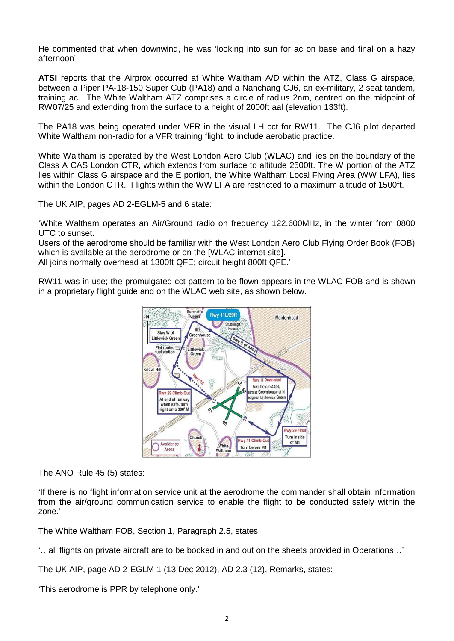He commented that when downwind, he was 'looking into sun for ac on base and final on a hazy afternoon'.

**ATSI** reports that the Airprox occurred at White Waltham A/D within the ATZ, Class G airspace, between a Piper PA-18-150 Super Cub (PA18) and a Nanchang CJ6, an ex-military, 2 seat tandem, training ac. The White Waltham ATZ comprises a circle of radius 2nm, centred on the midpoint of RW07/25 and extending from the surface to a height of 2000ft aal (elevation 133ft).

The PA18 was being operated under VFR in the visual LH cct for RW11. The CJ6 pilot departed White Waltham non-radio for a VFR training flight, to include aerobatic practice.

White Waltham is operated by the West London Aero Club (WLAC) and lies on the boundary of the Class A CAS London CTR, which extends from surface to altitude 2500ft. The W portion of the ATZ lies within Class G airspace and the E portion, the White Waltham Local Flying Area (WW LFA), lies within the London CTR. Flights within the WW LFA are restricted to a maximum altitude of 1500ft.

The UK AIP, pages AD 2-EGLM-5 and 6 state:

'White Waltham operates an Air/Ground radio on frequency 122.600MHz, in the winter from 0800 UTC to sunset.

Users of the aerodrome should be familiar with the West London Aero Club Flying Order Book (FOB) which is available at the aerodrome or on the [WLAC internet site]. All joins normally overhead at 1300ft QFE; circuit height 800ft QFE.'

RW11 was in use; the promulgated cct pattern to be flown appears in the WLAC FOB and is shown in a proprietary flight guide and on the WLAC web site, as shown below.



The ANO Rule 45 (5) states:

'If there is no flight information service unit at the aerodrome the commander shall obtain information from the air/ground communication service to enable the flight to be conducted safely within the zone.'

The White Waltham FOB, Section 1, Paragraph 2.5, states:

'…all flights on private aircraft are to be booked in and out on the sheets provided in Operations…'

The UK AIP, page AD 2-EGLM-1 (13 Dec 2012), AD 2.3 (12), Remarks, states:

'This aerodrome is PPR by telephone only.'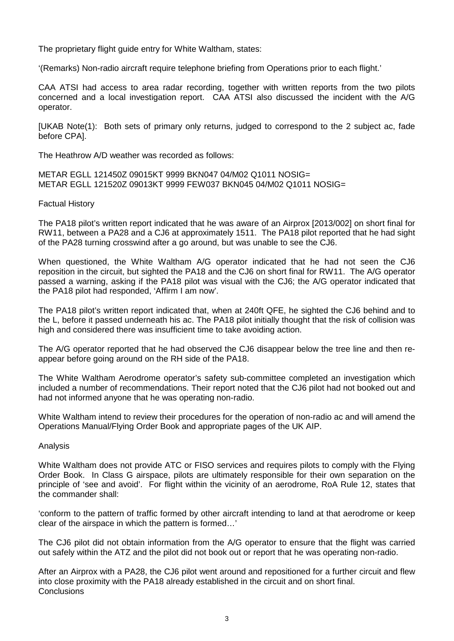The proprietary flight guide entry for White Waltham, states:

'(Remarks) Non-radio aircraft require telephone briefing from Operations prior to each flight.'

CAA ATSI had access to area radar recording, together with written reports from the two pilots concerned and a local investigation report. CAA ATSI also discussed the incident with the A/G operator.

[UKAB Note(1): Both sets of primary only returns, judged to correspond to the 2 subject ac, fade before CPA].

The Heathrow A/D weather was recorded as follows:

METAR EGLL 121450Z 09015KT 9999 BKN047 04/M02 Q1011 NOSIG= METAR EGLL 121520Z 09013KT 9999 FEW037 BKN045 04/M02 Q1011 NOSIG=

Factual History

The PA18 pilot's written report indicated that he was aware of an Airprox [2013/002] on short final for RW11, between a PA28 and a CJ6 at approximately 1511. The PA18 pilot reported that he had sight of the PA28 turning crosswind after a go around, but was unable to see the CJ6.

When questioned, the White Waltham A/G operator indicated that he had not seen the CJ6 reposition in the circuit, but sighted the PA18 and the CJ6 on short final for RW11. The A/G operator passed a warning, asking if the PA18 pilot was visual with the CJ6; the A/G operator indicated that the PA18 pilot had responded, 'Affirm I am now'.

The PA18 pilot's written report indicated that, when at 240ft QFE, he sighted the CJ6 behind and to the L, before it passed underneath his ac. The PA18 pilot initially thought that the risk of collision was high and considered there was insufficient time to take avoiding action.

The A/G operator reported that he had observed the CJ6 disappear below the tree line and then reappear before going around on the RH side of the PA18.

The White Waltham Aerodrome operator's safety sub-committee completed an investigation which included a number of recommendations. Their report noted that the CJ6 pilot had not booked out and had not informed anyone that he was operating non-radio.

White Waltham intend to review their procedures for the operation of non-radio ac and will amend the Operations Manual/Flying Order Book and appropriate pages of the UK AIP.

#### Analysis

White Waltham does not provide ATC or FISO services and requires pilots to comply with the Flying Order Book. In Class G airspace, pilots are ultimately responsible for their own separation on the principle of 'see and avoid'. For flight within the vicinity of an aerodrome, RoA Rule 12, states that the commander shall:

'conform to the pattern of traffic formed by other aircraft intending to land at that aerodrome or keep clear of the airspace in which the pattern is formed…'

The CJ6 pilot did not obtain information from the A/G operator to ensure that the flight was carried out safely within the ATZ and the pilot did not book out or report that he was operating non-radio.

After an Airprox with a PA28, the CJ6 pilot went around and repositioned for a further circuit and flew into close proximity with the PA18 already established in the circuit and on short final. **Conclusions**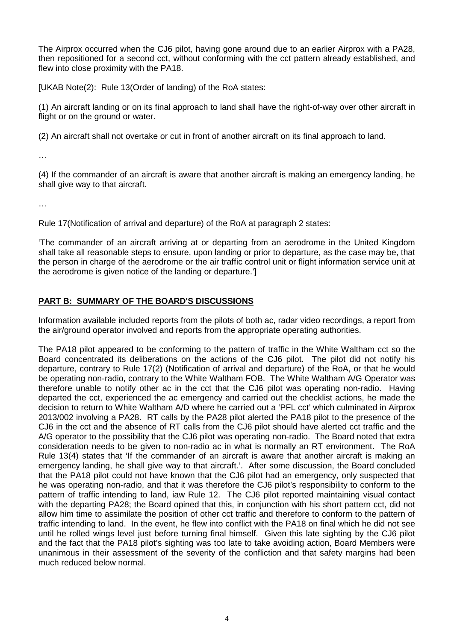The Airprox occurred when the CJ6 pilot, having gone around due to an earlier Airprox with a PA28, then repositioned for a second cct, without conforming with the cct pattern already established, and flew into close proximity with the PA18.

[UKAB Note(2): Rule 13(Order of landing) of the RoA states:

(1) An aircraft landing or on its final approach to land shall have the right-of-way over other aircraft in flight or on the ground or water.

(2) An aircraft shall not overtake or cut in front of another aircraft on its final approach to land.

…

(4) If the commander of an aircraft is aware that another aircraft is making an emergency landing, he shall give way to that aircraft.

…

Rule 17(Notification of arrival and departure) of the RoA at paragraph 2 states:

'The commander of an aircraft arriving at or departing from an aerodrome in the United Kingdom shall take all reasonable steps to ensure, upon landing or prior to departure, as the case may be, that the person in charge of the aerodrome or the air traffic control unit or flight information service unit at the aerodrome is given notice of the landing or departure.']

## **PART B: SUMMARY OF THE BOARD'S DISCUSSIONS**

Information available included reports from the pilots of both ac, radar video recordings, a report from the air/ground operator involved and reports from the appropriate operating authorities.

The PA18 pilot appeared to be conforming to the pattern of traffic in the White Waltham cct so the Board concentrated its deliberations on the actions of the CJ6 pilot. The pilot did not notify his departure, contrary to Rule 17(2) (Notification of arrival and departure) of the RoA, or that he would be operating non-radio, contrary to the White Waltham FOB. The White Waltham A/G Operator was therefore unable to notify other ac in the cct that the CJ6 pilot was operating non-radio. Having departed the cct, experienced the ac emergency and carried out the checklist actions, he made the decision to return to White Waltham A/D where he carried out a 'PFL cct' which culminated in Airprox 2013/002 involving a PA28. RT calls by the PA28 pilot alerted the PA18 pilot to the presence of the CJ6 in the cct and the absence of RT calls from the CJ6 pilot should have alerted cct traffic and the A/G operator to the possibility that the CJ6 pilot was operating non-radio. The Board noted that extra consideration needs to be given to non-radio ac in what is normally an RT environment. The RoA Rule 13(4) states that 'If the commander of an aircraft is aware that another aircraft is making an emergency landing, he shall give way to that aircraft.'. After some discussion, the Board concluded that the PA18 pilot could not have known that the CJ6 pilot had an emergency, only suspected that he was operating non-radio, and that it was therefore the CJ6 pilot's responsibility to conform to the pattern of traffic intending to land, iaw Rule 12. The CJ6 pilot reported maintaining visual contact with the departing PA28; the Board opined that this, in conjunction with his short pattern cct, did not allow him time to assimilate the position of other cct traffic and therefore to conform to the pattern of traffic intending to land. In the event, he flew into conflict with the PA18 on final which he did not see until he rolled wings level just before turning final himself. Given this late sighting by the CJ6 pilot and the fact that the PA18 pilot's sighting was too late to take avoiding action, Board Members were unanimous in their assessment of the severity of the confliction and that safety margins had been much reduced below normal.